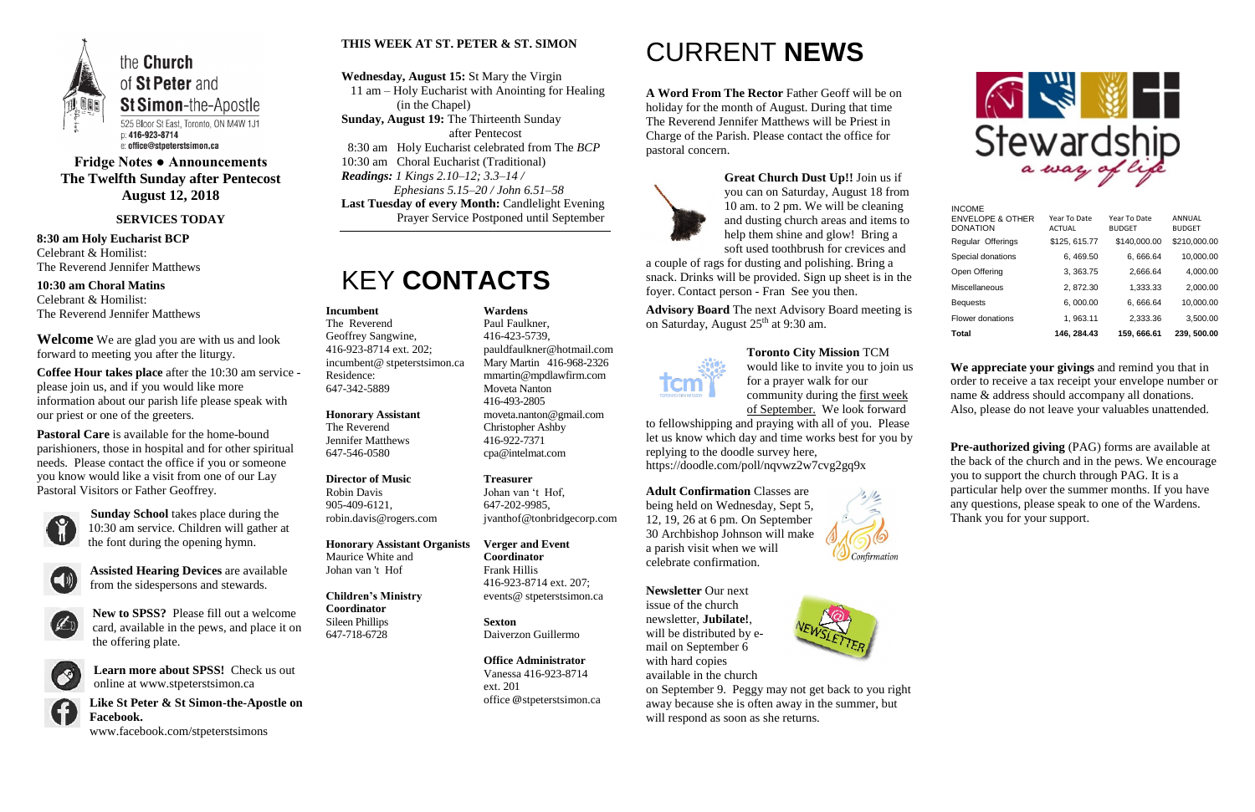

## **Fridge Notes ● Announcements The Twelfth Sunday after Pentecost August 12, 2018**

**SERVICES TODAY**

**8:30 am Holy Eucharist BCP** Celebrant & Homilist: The Reverend Jennifer Matthews

**10:30 am Choral Matins** Celebrant & Homilist: The Reverend Jennifer Matthews

**Welcome** We are glad you are with us and look forward to meeting you after the liturgy.

**Coffee Hour takes place** after the 10:30 am service please join us, and if you would like more information about our parish life please speak with our priest or one of the greeters.

**Pastoral Care** is available for the home-bound parishioners, those in hospital and for other spiritual needs. Please contact the office if you or someone you know would like a visit from one of our Lay Pastoral Visitors or Father Geoffrey.



**Sunday School** takes place during the 10:30 am service. Children will gather at the font during the opening hymn.



**Assisted Hearing Devices** are available from the sidespersons and stewards.



**New to SPSS?** Please fill out a welcome card, available in the pews, and place it on the offering plate.



**Learn more about SPSS!** Check us out online at www.stpeterstsimon.ca

**Advisory Board** The next Advisory Board meeting is on Saturday, August 25<sup>th</sup> at 9:30 am.



**Like St Peter & St Simon-the-Apostle on Facebook.**  www.facebook.com/stpeterstsimons

### **THIS WEEK AT ST. PETER & ST. SIMON**

**Wednesday, August 15:** St Mary the Virgin 11 am – Holy Eucharist with Anointing for Healing (in the Chapel) **Sunday, August 19:** The Thirteenth Sunday

 after Pentecost 8:30 am Holy Eucharist celebrated from The *BCP* 10:30 am Choral Eucharist (Traditional) *Readings: 1 Kings 2.10–12; 3.3–14 / Ephesians 5.15–20 / John 6.51–58* **Last Tuesday of every Month:** Candlelight Evening Prayer Service Postponed until September

## KEY **CONTACTS**

## CURRENT **NEWS**

**A Word From The Rector** Father Geoff will be on holiday for the month of August. During that time The Reverend Jennifer Matthews will be Priest in Charge of the Parish. Please contact the office for pastoral concern.



**Pre-authorized giving (PAG) forms are available at** the back of the church and in the pews. We encourage you to support the church through PAG. It is a particular help over the summer months. If you have any questions, please speak to one of the Wardens. Thank you for your support.

**Great Church Dust Up!!** Join us if you can on Saturday, August 18 from 10 am. to 2 pm. We will be cleaning and dusting church areas and items to help them shine and glow! Bring a soft used toothbrush for crevices and

a couple of rags for dusting and polishing. Bring a snack. Drinks will be provided. Sign up sheet is in the foyer. Contact person - Fran See you then.

### **Toronto City Mission** TCM

would like to invite you to join us for a prayer walk for our community during the first week of September. We look forward

to fellowshipping and praying with all of you. Please let us know which day and time works best for you by replying to the doodle survey here, https://doodle.com/poll/nqvwz2w7cvg2gq9x

## **Adult Confirmation** Classes are

being held on Wednesday, Sept 5, 12, 19, 26 at 6 pm. On September 30 Archbishop Johnson will make a parish visit when we will celebrate confirmation.



**Newsletter** Our next issue of the church newsletter, **Jubilate!**, will be distributed by email on September 6 with hard copies available in the church



on September 9. Peggy may not get back to you right away because she is often away in the summer, but will respond as soon as she returns.



**We appreciate your givings** and remind you that in order to receive a tax receipt your envelope number or name & address should accompany all donations. Also, please do not leave your valuables unattended.

#### **Incumbent**

The Reverend Geoffrey Sangwine, 416-923-8714 ext. 202; incumbent@ stpeterstsimon.ca Residence: 647-342-5889

**Honorary Assistant**

The Reverend Jennifer Matthews 647-546-0580

## **Director of Music**

Robin Davis 905-409-6121, robin.davis@rogers.com

**Honorary Assistant Organists**  Maurice White and Johan van 't Hof

**Children's Ministry Coordinator** Sileen Phillips 647-718-6728

**Wardens**  Paul Faulkner, 416-423-5739,

[pauldfaulkner@hotmail.com](mailto:pauldfaulkner@hotmail.com)  Mary Martin 416-968-2326 mmartin@mpdlawfirm.com

Moveta Nanton 416-493-2805

moveta.nanton@gmail.com

Christopher Ashby 416-922-7371 cpa@intelmat.com

**Treasurer**  Johan van 't Hof, 647-202-9985,

jvanthof@tonbridgecorp.com

**Verger and Event Coordinator** Frank Hillis

416-923-8714 ext. 207; events@ stpeterstsimon.ca

**Sexton**

Daiverzon Guillermo

**Office Administrator** Vanessa 416-923-8714 ext. 201 office @stpeterstsimon.ca INCOME

| Total                                          | 146, 284.43                   | 159, 666.61                   | 239, 500.00             |
|------------------------------------------------|-------------------------------|-------------------------------|-------------------------|
| Flower donations                               | 1, 963.11                     | 2,333.36                      | 3,500.00                |
| <b>Bequests</b>                                | 6,000.00                      | 6,666.64                      | 10,000.00               |
| Miscellaneous                                  | 2, 872.30                     | 1,333.33                      | 2,000.00                |
| Open Offering                                  | 3, 363.75                     | 2,666.64                      | 4,000.00                |
| Special donations                              | 6, 469.50                     | 6,666.64                      | 10,000.00               |
| Regular Offerings                              | \$125, 615.77                 | \$140,000.00                  | \$210,000.00            |
| <b>ENVELOPE &amp; OTHER</b><br><b>DONATION</b> | Year To Date<br><b>ACTUAL</b> | Year To Date<br><b>BUDGET</b> | ANNUAL<br><b>BUDGET</b> |
| <b>INCOME</b>                                  |                               |                               |                         |